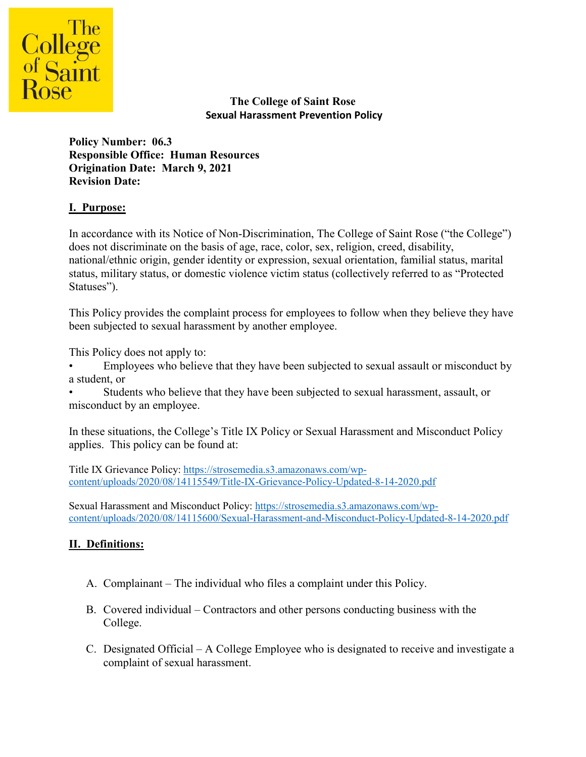

**The College of Saint Rose Sexual Harassment Prevention Policy**

**Policy Number: 06.3 Responsible Office: Human Resources Origination Date: March 9, 2021 Revision Date:** 

## **I. Purpose:**

In accordance with its Notice of Non-Discrimination, The College of Saint Rose ("the College") does not discriminate on the basis of age, race, color, sex, religion, creed, disability, national/ethnic origin, gender identity or expression, sexual orientation, familial status, marital status, military status, or domestic violence victim status (collectively referred to as "Protected Statuses").

This Policy provides the complaint process for employees to follow when they believe they have been subjected to sexual harassment by another employee.

This Policy does not apply to:

• Employees who believe that they have been subjected to sexual assault or misconduct by a student, or

• Students who believe that they have been subjected to sexual harassment, assault, or misconduct by an employee.

In these situations, the College's Title IX Policy or Sexual Harassment and Misconduct Policy applies. This policy can be found at:

Title IX Grievance Policy[: https://strosemedia.s3.amazonaws.com/wp](https://strosemedia.s3.amazonaws.com/wp-content/uploads/2020/08/14115549/Title-IX-Grievance-Policy-Updated-8-14-2020.pdf)[content/uploads/2020/08/14115549/Title-IX-Grievance-Policy-Updated-8-14-2020.pdf](https://strosemedia.s3.amazonaws.com/wp-content/uploads/2020/08/14115549/Title-IX-Grievance-Policy-Updated-8-14-2020.pdf)

Sexual Harassment and Misconduct Policy: [https://strosemedia.s3.amazonaws.com/wp](https://strosemedia.s3.amazonaws.com/wp-content/uploads/2020/08/14115600/Sexual-Harassment-and-Misconduct-Policy-Updated-8-14-2020.pdf)[content/uploads/2020/08/14115600/Sexual-Harassment-and-Misconduct-Policy-Updated-8-14-2020.pdf](https://strosemedia.s3.amazonaws.com/wp-content/uploads/2020/08/14115600/Sexual-Harassment-and-Misconduct-Policy-Updated-8-14-2020.pdf)

#### **II. Definitions:**

- A. Complainant The individual who files a complaint under this Policy.
- B. Covered individual Contractors and other persons conducting business with the College.
- C. Designated Official A College Employee who is designated to receive and investigate a complaint of sexual harassment.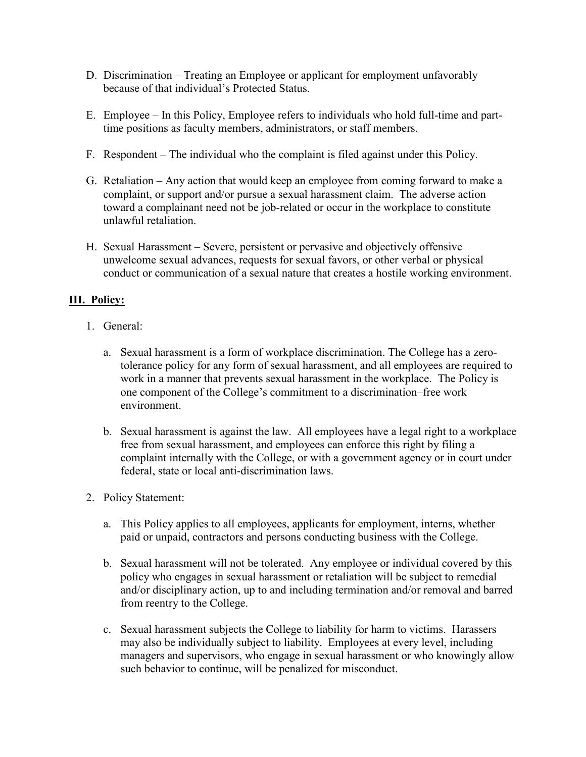- D. Discrimination Treating an Employee or applicant for employment unfavorably because of that individual's Protected Status.
- E. Employee In this Policy, Employee refers to individuals who hold full-time and parttime positions as faculty members, administrators, or staff members.
- F. Respondent The individual who the complaint is filed against under this Policy.
- G. Retaliation Any action that would keep an employee from coming forward to make a complaint, or support and/or pursue a sexual harassment claim. The adverse action toward a complainant need not be job-related or occur in the workplace to constitute unlawful retaliation.
- H. Sexual Harassment Severe, persistent or pervasive and objectively offensive unwelcome sexual advances, requests for sexual favors, or other verbal or physical conduct or communication of a sexual nature that creates a hostile working environment.

## **III. Policy:**

- 1. General:
	- a. Sexual harassment is a form of workplace discrimination. The College has a zerotolerance policy for any form of sexual harassment, and all employees are required to work in a manner that prevents sexual harassment in the workplace. The Policy is one component of the College's commitment to a discrimination–free work environment.
	- b. Sexual harassment is against the law. All employees have a legal right to a workplace free from sexual harassment, and employees can enforce this right by filing a complaint internally with the College, or with a government agency or in court under federal, state or local anti-discrimination laws.
- 2. Policy Statement:
	- a. This Policy applies to all employees, applicants for employment, interns, whether paid or unpaid, contractors and persons conducting business with the College.
	- b. Sexual harassment will not be tolerated. Any employee or individual covered by this policy who engages in sexual harassment or retaliation will be subject to remedial and/or disciplinary action, up to and including termination and/or removal and barred from reentry to the College.
	- c. Sexual harassment subjects the College to liability for harm to victims. Harassers may also be individually subject to liability. Employees at every level, including managers and supervisors, who engage in sexual harassment or who knowingly allow such behavior to continue, will be penalized for misconduct.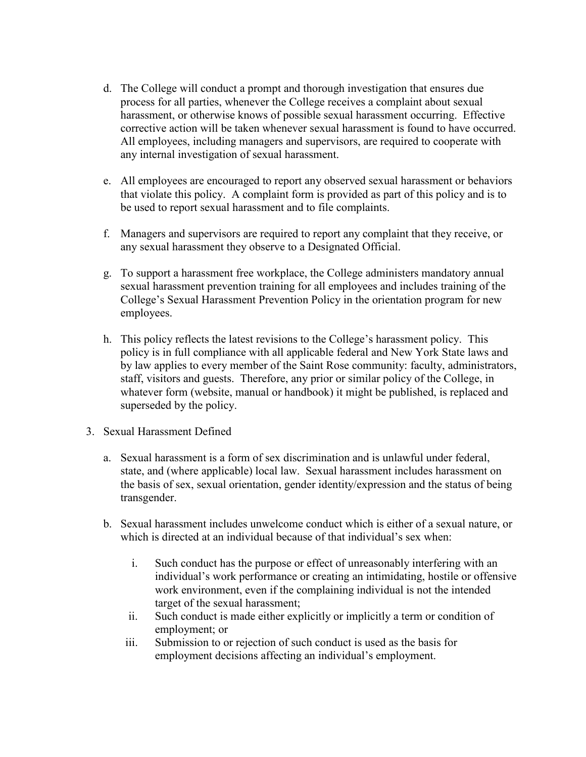- d. The College will conduct a prompt and thorough investigation that ensures due process for all parties, whenever the College receives a complaint about sexual harassment, or otherwise knows of possible sexual harassment occurring. Effective corrective action will be taken whenever sexual harassment is found to have occurred. All employees, including managers and supervisors, are required to cooperate with any internal investigation of sexual harassment.
- e. All employees are encouraged to report any observed sexual harassment or behaviors that violate this policy. A complaint form is provided as part of this policy and is to be used to report sexual harassment and to file complaints.
- f. Managers and supervisors are required to report any complaint that they receive, or any sexual harassment they observe to a Designated Official.
- g. To support a harassment free workplace, the College administers mandatory annual sexual harassment prevention training for all employees and includes training of the College's Sexual Harassment Prevention Policy in the orientation program for new employees.
- h. This policy reflects the latest revisions to the College's harassment policy. This policy is in full compliance with all applicable federal and New York State laws and by law applies to every member of the Saint Rose community: faculty, administrators, staff, visitors and guests. Therefore, any prior or similar policy of the College, in whatever form (website, manual or handbook) it might be published, is replaced and superseded by the policy.
- 3. Sexual Harassment Defined
	- a. Sexual harassment is a form of sex discrimination and is unlawful under federal, state, and (where applicable) local law. Sexual harassment includes harassment on the basis of sex, sexual orientation, gender identity/expression and the status of being transgender.
	- b. Sexual harassment includes unwelcome conduct which is either of a sexual nature, or which is directed at an individual because of that individual's sex when:
		- i. Such conduct has the purpose or effect of unreasonably interfering with an individual's work performance or creating an intimidating, hostile or offensive work environment, even if the complaining individual is not the intended target of the sexual harassment;
		- ii. Such conduct is made either explicitly or implicitly a term or condition of employment; or
		- iii. Submission to or rejection of such conduct is used as the basis for employment decisions affecting an individual's employment.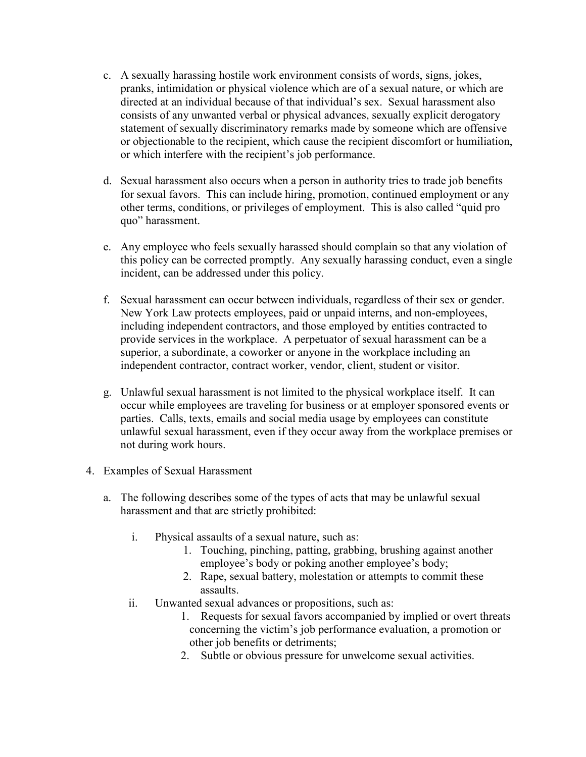- c. A sexually harassing hostile work environment consists of words, signs, jokes, pranks, intimidation or physical violence which are of a sexual nature, or which are directed at an individual because of that individual's sex. Sexual harassment also consists of any unwanted verbal or physical advances, sexually explicit derogatory statement of sexually discriminatory remarks made by someone which are offensive or objectionable to the recipient, which cause the recipient discomfort or humiliation, or which interfere with the recipient's job performance.
- d. Sexual harassment also occurs when a person in authority tries to trade job benefits for sexual favors. This can include hiring, promotion, continued employment or any other terms, conditions, or privileges of employment. This is also called "quid pro quo" harassment.
- e. Any employee who feels sexually harassed should complain so that any violation of this policy can be corrected promptly. Any sexually harassing conduct, even a single incident, can be addressed under this policy.
- f. Sexual harassment can occur between individuals, regardless of their sex or gender. New York Law protects employees, paid or unpaid interns, and non-employees, including independent contractors, and those employed by entities contracted to provide services in the workplace. A perpetuator of sexual harassment can be a superior, a subordinate, a coworker or anyone in the workplace including an independent contractor, contract worker, vendor, client, student or visitor.
- g. Unlawful sexual harassment is not limited to the physical workplace itself. It can occur while employees are traveling for business or at employer sponsored events or parties. Calls, texts, emails and social media usage by employees can constitute unlawful sexual harassment, even if they occur away from the workplace premises or not during work hours.
- 4. Examples of Sexual Harassment
	- a. The following describes some of the types of acts that may be unlawful sexual harassment and that are strictly prohibited:
		- i. Physical assaults of a sexual nature, such as:
			- 1. Touching, pinching, patting, grabbing, brushing against another employee's body or poking another employee's body;
			- 2. Rape, sexual battery, molestation or attempts to commit these assaults.
		- ii. Unwanted sexual advances or propositions, such as:
			- 1. Requests for sexual favors accompanied by implied or overt threats concerning the victim's job performance evaluation, a promotion or other job benefits or detriments;
			- 2. Subtle or obvious pressure for unwelcome sexual activities.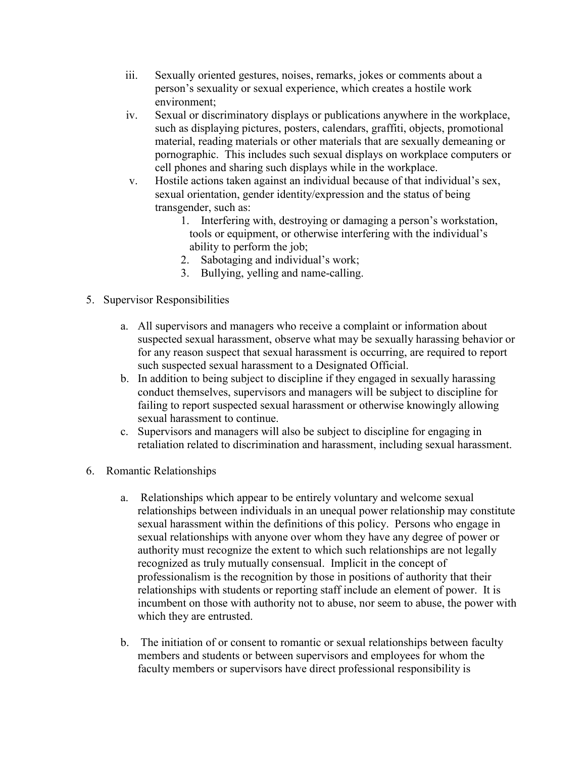- iii. Sexually oriented gestures, noises, remarks, jokes or comments about a person's sexuality or sexual experience, which creates a hostile work environment;
- iv. Sexual or discriminatory displays or publications anywhere in the workplace, such as displaying pictures, posters, calendars, graffiti, objects, promotional material, reading materials or other materials that are sexually demeaning or pornographic. This includes such sexual displays on workplace computers or cell phones and sharing such displays while in the workplace.
- v. Hostile actions taken against an individual because of that individual's sex, sexual orientation, gender identity/expression and the status of being transgender, such as:
	- 1. Interfering with, destroying or damaging a person's workstation, tools or equipment, or otherwise interfering with the individual's ability to perform the job;
	- 2. Sabotaging and individual's work;
	- 3. Bullying, yelling and name-calling.
- 5. Supervisor Responsibilities
	- a. All supervisors and managers who receive a complaint or information about suspected sexual harassment, observe what may be sexually harassing behavior or for any reason suspect that sexual harassment is occurring, are required to report such suspected sexual harassment to a Designated Official.
	- b. In addition to being subject to discipline if they engaged in sexually harassing conduct themselves, supervisors and managers will be subject to discipline for failing to report suspected sexual harassment or otherwise knowingly allowing sexual harassment to continue.
	- c. Supervisors and managers will also be subject to discipline for engaging in retaliation related to discrimination and harassment, including sexual harassment.
- 6. Romantic Relationships
	- a. Relationships which appear to be entirely voluntary and welcome sexual relationships between individuals in an unequal power relationship may constitute sexual harassment within the definitions of this policy. Persons who engage in sexual relationships with anyone over whom they have any degree of power or authority must recognize the extent to which such relationships are not legally recognized as truly mutually consensual. Implicit in the concept of professionalism is the recognition by those in positions of authority that their relationships with students or reporting staff include an element of power. It is incumbent on those with authority not to abuse, nor seem to abuse, the power with which they are entrusted.
	- b. The initiation of or consent to romantic or sexual relationships between faculty members and students or between supervisors and employees for whom the faculty members or supervisors have direct professional responsibility is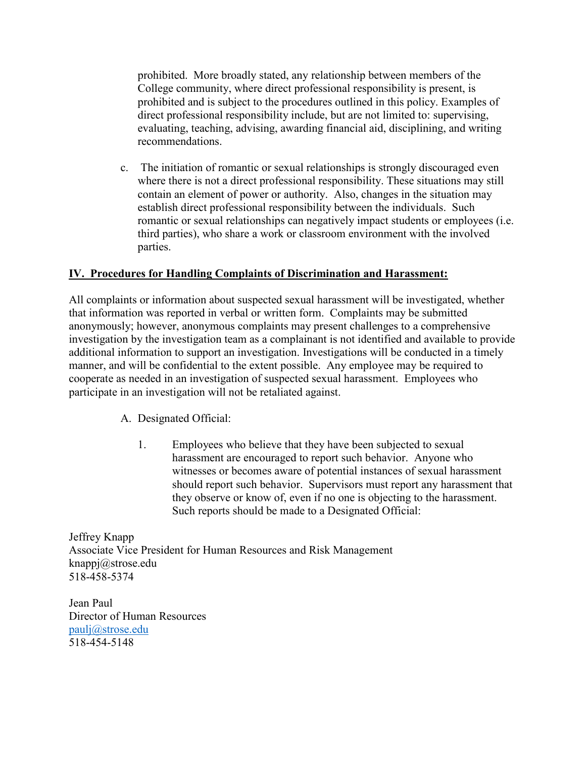prohibited. More broadly stated, any relationship between members of the College community, where direct professional responsibility is present, is prohibited and is subject to the procedures outlined in this policy. Examples of direct professional responsibility include, but are not limited to: supervising, evaluating, teaching, advising, awarding financial aid, disciplining, and writing recommendations.

c. The initiation of romantic or sexual relationships is strongly discouraged even where there is not a direct professional responsibility. These situations may still contain an element of power or authority. Also, changes in the situation may establish direct professional responsibility between the individuals. Such romantic or sexual relationships can negatively impact students or employees (i.e. third parties), who share a work or classroom environment with the involved parties.

#### **IV. Procedures for Handling Complaints of Discrimination and Harassment:**

All complaints or information about suspected sexual harassment will be investigated, whether that information was reported in verbal or written form. Complaints may be submitted anonymously; however, anonymous complaints may present challenges to a comprehensive investigation by the investigation team as a complainant is not identified and available to provide additional information to support an investigation. Investigations will be conducted in a timely manner, and will be confidential to the extent possible. Any employee may be required to cooperate as needed in an investigation of suspected sexual harassment. Employees who participate in an investigation will not be retaliated against.

A. Designated Official:

1. Employees who believe that they have been subjected to sexual harassment are encouraged to report such behavior. Anyone who witnesses or becomes aware of potential instances of sexual harassment should report such behavior. Supervisors must report any harassment that they observe or know of, even if no one is objecting to the harassment. Such reports should be made to a Designated Official:

Jeffrey Knapp Associate Vice President for Human Resources and Risk Management knappj@strose.edu 518-458-5374

Jean Paul Director of Human Resources [paulj@strose.edu](mailto:paulj@strose.edu) 518-454-5148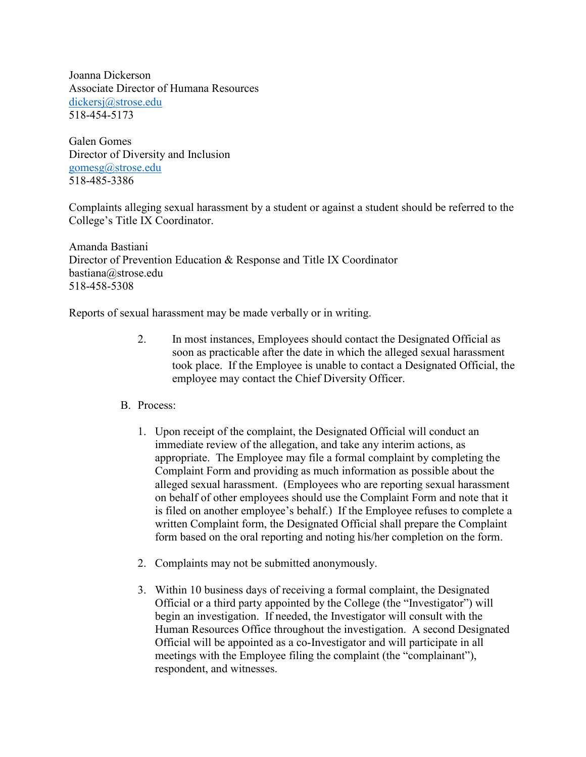Joanna Dickerson Associate Director of Humana Resources [dickersj@strose.edu](mailto:dickersj@strose.edu) 518-454-5173

Galen Gomes Director of Diversity and Inclusion [gomesg@strose.edu](mailto:gomesg@strose.edu) 518-485-3386

Complaints alleging sexual harassment by a student or against a student should be referred to the College's Title IX Coordinator.

Amanda Bastiani Director of Prevention Education & Response and Title IX Coordinator bastiana@strose.edu 518-458-5308

Reports of sexual harassment may be made verbally or in writing.

- 2. In most instances, Employees should contact the Designated Official as soon as practicable after the date in which the alleged sexual harassment took place. If the Employee is unable to contact a Designated Official, the employee may contact the Chief Diversity Officer.
- B. Process:
	- 1. Upon receipt of the complaint, the Designated Official will conduct an immediate review of the allegation, and take any interim actions, as appropriate. The Employee may file a formal complaint by completing the Complaint Form and providing as much information as possible about the alleged sexual harassment. (Employees who are reporting sexual harassment on behalf of other employees should use the Complaint Form and note that it is filed on another employee's behalf.) If the Employee refuses to complete a written Complaint form, the Designated Official shall prepare the Complaint form based on the oral reporting and noting his/her completion on the form.
	- 2. Complaints may not be submitted anonymously.
	- 3. Within 10 business days of receiving a formal complaint, the Designated Official or a third party appointed by the College (the "Investigator") will begin an investigation. If needed, the Investigator will consult with the Human Resources Office throughout the investigation. A second Designated Official will be appointed as a co-Investigator and will participate in all meetings with the Employee filing the complaint (the "complainant"), respondent, and witnesses.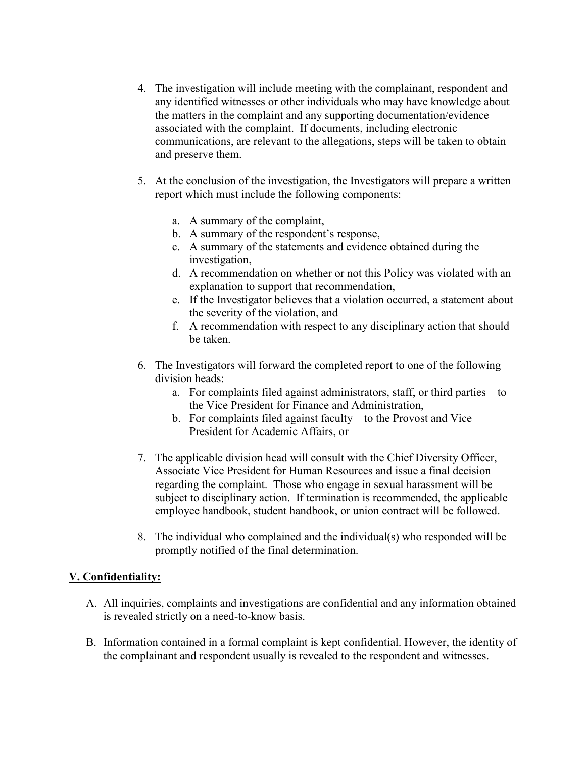- 4. The investigation will include meeting with the complainant, respondent and any identified witnesses or other individuals who may have knowledge about the matters in the complaint and any supporting documentation/evidence associated with the complaint. If documents, including electronic communications, are relevant to the allegations, steps will be taken to obtain and preserve them.
- 5. At the conclusion of the investigation, the Investigators will prepare a written report which must include the following components:
	- a. A summary of the complaint,
	- b. A summary of the respondent's response,
	- c. A summary of the statements and evidence obtained during the investigation,
	- d. A recommendation on whether or not this Policy was violated with an explanation to support that recommendation,
	- e. If the Investigator believes that a violation occurred, a statement about the severity of the violation, and
	- f. A recommendation with respect to any disciplinary action that should be taken.
- 6. The Investigators will forward the completed report to one of the following division heads:
	- a. For complaints filed against administrators, staff, or third parties to the Vice President for Finance and Administration,
	- b. For complaints filed against faculty to the Provost and Vice President for Academic Affairs, or
- 7. The applicable division head will consult with the Chief Diversity Officer, Associate Vice President for Human Resources and issue a final decision regarding the complaint. Those who engage in sexual harassment will be subject to disciplinary action. If termination is recommended, the applicable employee handbook, student handbook, or union contract will be followed.
- 8. The individual who complained and the individual(s) who responded will be promptly notified of the final determination.

#### **V. Confidentiality:**

- A. All inquiries, complaints and investigations are confidential and any information obtained is revealed strictly on a need-to-know basis.
- B. Information contained in a formal complaint is kept confidential. However, the identity of the complainant and respondent usually is revealed to the respondent and witnesses.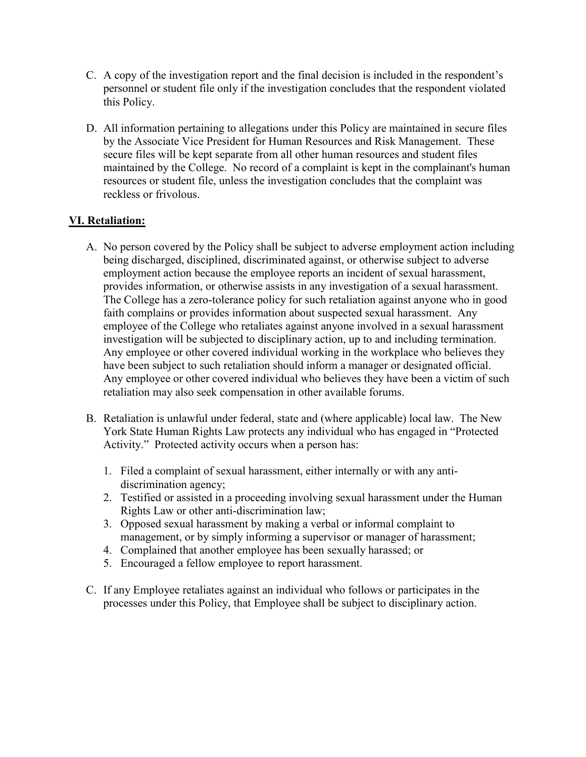- C. A copy of the investigation report and the final decision is included in the respondent's personnel or student file only if the investigation concludes that the respondent violated this Policy.
- D. All information pertaining to allegations under this Policy are maintained in secure files by the Associate Vice President for Human Resources and Risk Management. These secure files will be kept separate from all other human resources and student files maintained by the College. No record of a complaint is kept in the complainant's human resources or student file, unless the investigation concludes that the complaint was reckless or frivolous.

## **VI. Retaliation:**

- A. No person covered by the Policy shall be subject to adverse employment action including being discharged, disciplined, discriminated against, or otherwise subject to adverse employment action because the employee reports an incident of sexual harassment, provides information, or otherwise assists in any investigation of a sexual harassment. The College has a zero-tolerance policy for such retaliation against anyone who in good faith complains or provides information about suspected sexual harassment. Any employee of the College who retaliates against anyone involved in a sexual harassment investigation will be subjected to disciplinary action, up to and including termination. Any employee or other covered individual working in the workplace who believes they have been subject to such retaliation should inform a manager or designated official. Any employee or other covered individual who believes they have been a victim of such retaliation may also seek compensation in other available forums.
- B. Retaliation is unlawful under federal, state and (where applicable) local law. The New York State Human Rights Law protects any individual who has engaged in "Protected Activity." Protected activity occurs when a person has:
	- 1. Filed a complaint of sexual harassment, either internally or with any antidiscrimination agency;
	- 2. Testified or assisted in a proceeding involving sexual harassment under the Human Rights Law or other anti-discrimination law;
	- 3. Opposed sexual harassment by making a verbal or informal complaint to management, or by simply informing a supervisor or manager of harassment;
	- 4. Complained that another employee has been sexually harassed; or
	- 5. Encouraged a fellow employee to report harassment.
- C. If any Employee retaliates against an individual who follows or participates in the processes under this Policy, that Employee shall be subject to disciplinary action.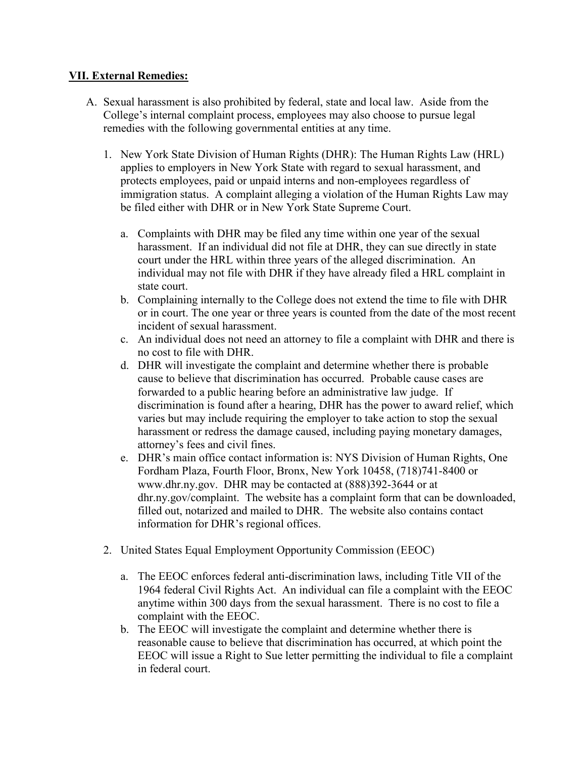#### **VII. External Remedies:**

- A. Sexual harassment is also prohibited by federal, state and local law. Aside from the College's internal complaint process, employees may also choose to pursue legal remedies with the following governmental entities at any time.
	- 1. New York State Division of Human Rights (DHR): The Human Rights Law (HRL) applies to employers in New York State with regard to sexual harassment, and protects employees, paid or unpaid interns and non-employees regardless of immigration status. A complaint alleging a violation of the Human Rights Law may be filed either with DHR or in New York State Supreme Court.
		- a. Complaints with DHR may be filed any time within one year of the sexual harassment. If an individual did not file at DHR, they can sue directly in state court under the HRL within three years of the alleged discrimination. An individual may not file with DHR if they have already filed a HRL complaint in state court.
		- b. Complaining internally to the College does not extend the time to file with DHR or in court. The one year or three years is counted from the date of the most recent incident of sexual harassment.
		- c. An individual does not need an attorney to file a complaint with DHR and there is no cost to file with DHR.
		- d. DHR will investigate the complaint and determine whether there is probable cause to believe that discrimination has occurred. Probable cause cases are forwarded to a public hearing before an administrative law judge. If discrimination is found after a hearing, DHR has the power to award relief, which varies but may include requiring the employer to take action to stop the sexual harassment or redress the damage caused, including paying monetary damages, attorney's fees and civil fines.
		- e. DHR's main office contact information is: NYS Division of Human Rights, One Fordham Plaza, Fourth Floor, Bronx, New York 10458, (718)741-8400 or www.dhr.ny.gov. DHR may be contacted at (888)392-3644 or at dhr.ny.gov/complaint. The website has a complaint form that can be downloaded, filled out, notarized and mailed to DHR. The website also contains contact information for DHR's regional offices.
	- 2. United States Equal Employment Opportunity Commission (EEOC)
		- a. The EEOC enforces federal anti-discrimination laws, including Title VII of the 1964 federal Civil Rights Act. An individual can file a complaint with the EEOC anytime within 300 days from the sexual harassment. There is no cost to file a complaint with the EEOC.
		- b. The EEOC will investigate the complaint and determine whether there is reasonable cause to believe that discrimination has occurred, at which point the EEOC will issue a Right to Sue letter permitting the individual to file a complaint in federal court.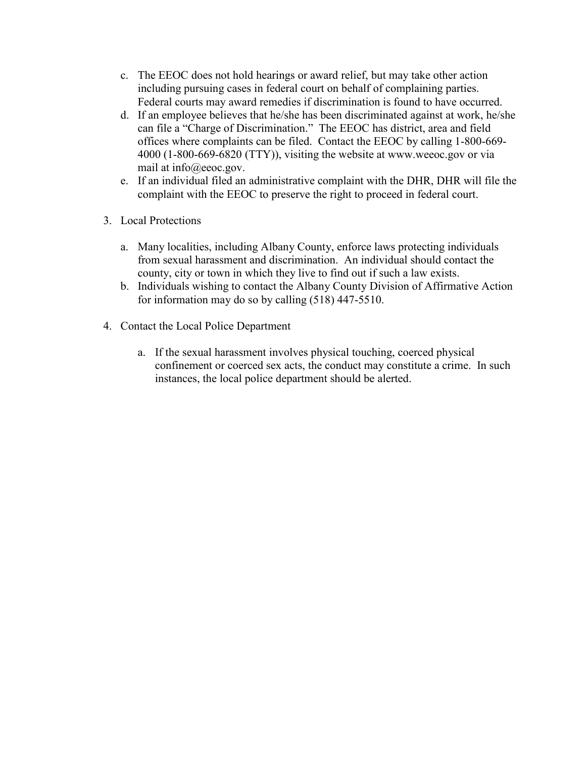- c. The EEOC does not hold hearings or award relief, but may take other action including pursuing cases in federal court on behalf of complaining parties. Federal courts may award remedies if discrimination is found to have occurred.
- d. If an employee believes that he/she has been discriminated against at work, he/she can file a "Charge of Discrimination." The EEOC has district, area and field offices where complaints can be filed. Contact the EEOC by calling 1-800-669- 4000 (1-800-669-6820 (TTY)), visiting the website at www.weeoc.gov or via mail at info@eeoc.gov.
- e. If an individual filed an administrative complaint with the DHR, DHR will file the complaint with the EEOC to preserve the right to proceed in federal court.
- 3. Local Protections
	- a. Many localities, including Albany County, enforce laws protecting individuals from sexual harassment and discrimination. An individual should contact the county, city or town in which they live to find out if such a law exists.
	- b. Individuals wishing to contact the Albany County Division of Affirmative Action for information may do so by calling (518) 447-5510.
- 4. Contact the Local Police Department
	- a. If the sexual harassment involves physical touching, coerced physical confinement or coerced sex acts, the conduct may constitute a crime. In such instances, the local police department should be alerted.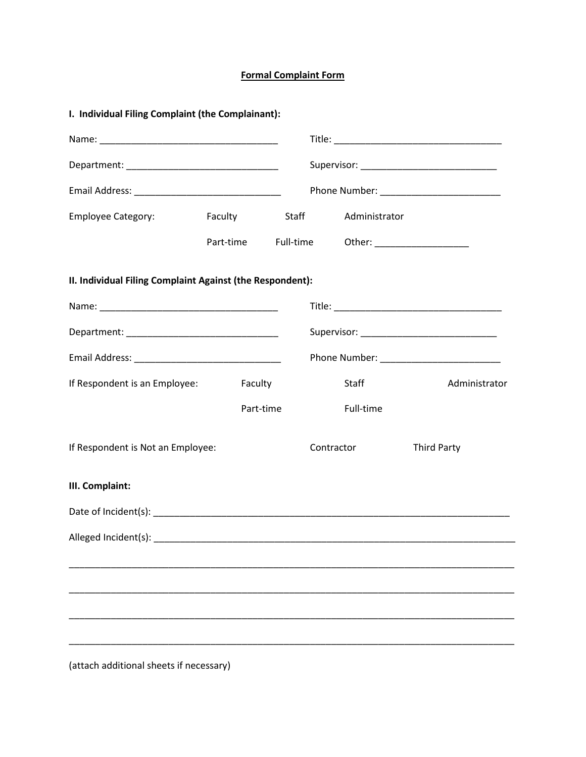# **Formal Complaint Form**

| I. Individual Filing Complaint (the Complainant):         |                                             |  |                                             |                    |
|-----------------------------------------------------------|---------------------------------------------|--|---------------------------------------------|--------------------|
|                                                           |                                             |  |                                             |                    |
|                                                           |                                             |  |                                             |                    |
|                                                           |                                             |  |                                             |                    |
| <b>Employee Category:</b>                                 | Faculty Staff                               |  | Administrator                               |                    |
|                                                           |                                             |  | Part-time Full-time Other: ________________ |                    |
| II. Individual Filing Complaint Against (the Respondent): |                                             |  |                                             |                    |
|                                                           |                                             |  |                                             |                    |
|                                                           | Supervisor: _______________________________ |  |                                             |                    |
|                                                           |                                             |  |                                             |                    |
| If Respondent is an Employee:                             | Faculty                                     |  | Staff                                       | Administrator      |
|                                                           | Part-time                                   |  | Full-time                                   |                    |
| If Respondent is Not an Employee:                         |                                             |  | Contractor                                  | <b>Third Party</b> |
| III. Complaint:                                           |                                             |  |                                             |                    |
|                                                           |                                             |  |                                             |                    |
| Alleged Incident(s): ________                             |                                             |  |                                             |                    |
|                                                           |                                             |  |                                             |                    |
|                                                           |                                             |  |                                             |                    |
|                                                           |                                             |  |                                             |                    |
|                                                           |                                             |  |                                             |                    |
|                                                           |                                             |  |                                             |                    |

(attach additional sheets if necessary)